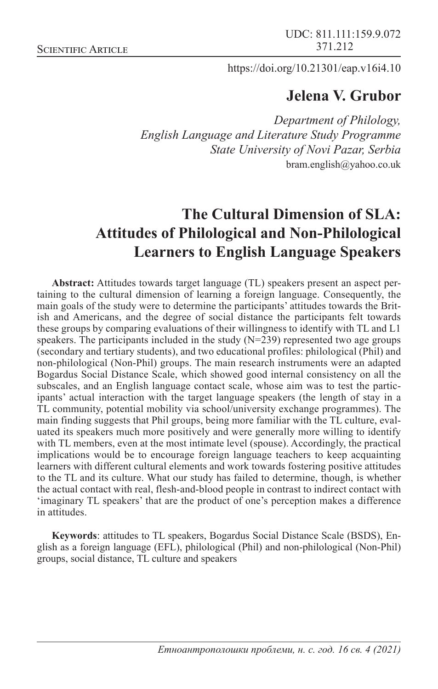https://doi.org/10.21301/eap.v16i4.10

# **Jelena V. Grubor**

*Department of Philology, English Language and Literature Study Programme State University of Novi Pazar, Serbia* bram.english@yahoo.co.uk

# **The Cultural Dimension of SLA: Attitudes of Philological and Non-Philological Learners to English Language Speakers**

**Abstract:** Attitudes towards target language (TL) speakers present an aspect pertaining to the cultural dimension of learning a foreign language. Consequently, the main goals of the study were to determine the participants' attitudes towards the British and Americans, and the degree of social distance the participants felt towards these groups by comparing evaluations of their willingness to identify with TL and L1 speakers. The participants included in the study  $(N=239)$  represented two age groups (secondary and tertiary students), and two educational profiles: philological (Phil) and non-philological (Non-Phil) groups. The main research instruments were an adapted Bogardus Social Distance Scale, which showed good internal consistency on all the subscales, and an English language contact scale, whose aim was to test the participants' actual interaction with the target language speakers (the length of stay in a TL community, potential mobility via school/university exchange programmes). The main finding suggests that Phil groups, being more familiar with the TL culture, evaluated its speakers much more positively and were generally more willing to identify with TL members, even at the most intimate level (spouse). Accordingly, the practical implications would be to encourage foreign language teachers to keep acquainting learners with different cultural elements and work towards fostering positive attitudes to the TL and its culture. What our study has failed to determine, though, is whether the actual contact with real, flesh-and-blood people in contrast to indirect contact with 'imaginary TL speakers' that are the product of one's perception makes a difference in attitudes.

**Keywords**: attitudes to TL speakers, Bogardus Social Distance Scale (BSDS), English as a foreign language (EFL), philological (Phil) and non-philological (Non-Phil) groups, social distance, TL culture and speakers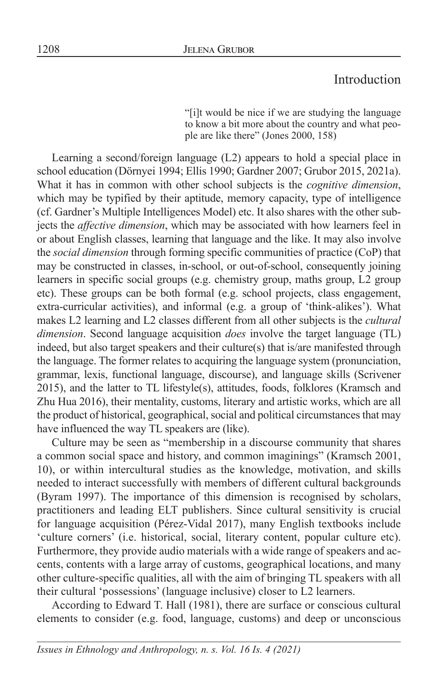# Introduction

"[i]t would be nice if we are studying the language to know a bit more about the country and what people are like there" (Jones 2000, 158)

Learning a second/foreign language (L2) appears to hold a special place in school education (Dörnyei 1994; Ellis 1990; Gardner 2007; Grubor 2015, 2021a). What it has in common with other school subjects is the *cognitive dimension*, which may be typified by their aptitude, memory capacity, type of intelligence (cf. Gardner's Multiple Intelligences Model) etc. It also shares with the other subjects the *affective dimension*, which may be associated with how learners feel in or about English classes, learning that language and the like. It may also involve the *social dimension* through forming specific communities of practice (CoP) that may be constructed in classes, in-school, or out-of-school, consequently joining learners in specific social groups (e.g. chemistry group, maths group, L2 group etc). These groups can be both formal (e.g. school projects, class engagement, extra-curricular activities), and informal (e.g. a group of 'think-alikes'). What makes L2 learning and L2 classes different from all other subjects is the *cultural dimension*. Second language acquisition *does* involve the target language (TL) indeed, but also target speakers and their culture(s) that is/are manifested through the language. The former relates to acquiring the language system (pronunciation, grammar, lexis, functional language, discourse), and language skills (Scrivener 2015), and the latter to TL lifestyle(s), attitudes, foods, folklores (Kramsch and Zhu Hua 2016), their mentality, customs, literary and artistic works, which are all the product of historical, geographical, social and political circumstances that may have influenced the way TL speakers are (like).

Culture may be seen as "membership in a discourse community that shares a common social space and history, and common imaginings" (Kramsch 2001, 10), or within intercultural studies as the knowledge, motivation, and skills needed to interact successfully with members of different cultural backgrounds (Byram 1997). The importance of this dimension is recognised by scholars, practitioners and leading ELT publishers. Since cultural sensitivity is crucial for language acquisition (Pérez-Vidal 2017), many English textbooks include 'culture corners' (i.e. historical, social, literary content, popular culture etc). Furthermore, they provide audio materials with a wide range of speakers and accents, contents with a large array of customs, geographical locations, and many other culture-specific qualities, all with the aim of bringing TL speakers with all their cultural 'possessions' (language inclusive) closer to L2 learners.

According to Edward T. Hall (1981), there are surface or conscious cultural elements to consider (e.g. food, language, customs) and deep or unconscious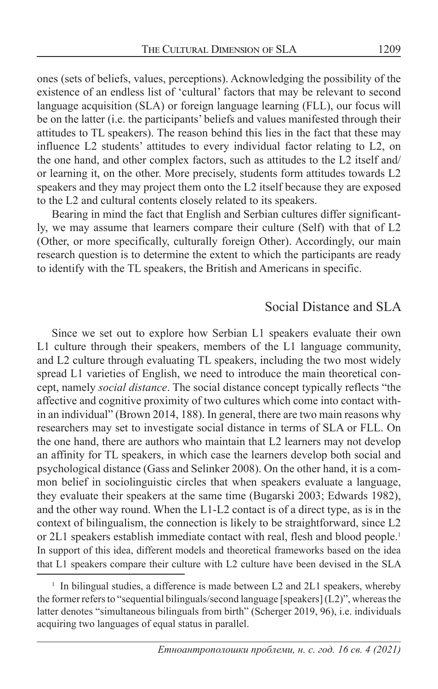ones (sets of beliefs, values, perceptions). Acknowledging the possibility of the existence of an endless list of 'cultural' factors that may be relevant to second language acquisition (SLA) or foreign language learning (FLL), our focus will be on the latter (i.e. the participants' beliefs and values manifested through their attitudes to TL speakers). The reason behind this lies in the fact that these may influence L2 students' attitudes to every individual factor relating to L2, on the one hand, and other complex factors, such as attitudes to the L2 itself and/ or learning it, on the other. More precisely, students form attitudes towards L2 speakers and they may project them onto the L2 itself because they are exposed to the L2 and cultural contents closely related to its speakers.

Bearing in mind the fact that English and Serbian cultures differ significantly, we may assume that learners compare their culture (Self) with that of L2 (Other, or more specifically, culturally foreign Other). Accordingly, our main research question is to determine the extent to which the participants are ready to identify with the TL speakers, the British and Americans in specific.

#### Social Distance and SLA

Since we set out to explore how Serbian L1 speakers evaluate their own L1 culture through their speakers, members of the L1 language community, and L2 culture through evaluating TL speakers, including the two most widely spread L1 varieties of English, we need to introduce the main theoretical concept, namely *social distance*. The social distance concept typically reflects "the affective and cognitive proximity of two cultures which come into contact within an individual" (Brown 2014, 188). In general, there are two main reasons why researchers may set to investigate social distance in terms of SLA or FLL. On the one hand, there are authors who maintain that L2 learners may not develop an affinity for TL speakers, in which case the learners develop both social and psychological distance (Gass and Selinker 2008). On the other hand, it is a common belief in sociolinguistic circles that when speakers evaluate a language, they evaluate their speakers at the same time (Bugarski 2003; Edwards 1982), and the other way round. When the L1-L2 contact is of a direct type, as is in the context of bilingualism, the connection is likely to be straightforward, since L2 or 2L1 speakers establish immediate contact with real, flesh and blood people.<sup>1</sup> In support of this idea, different models and theoretical frameworks based on the idea that L1 speakers compare their culture with L2 culture have been devised in the SLA

<sup>&</sup>lt;sup>1</sup> In bilingual studies, a difference is made between L2 and 2L1 speakers, whereby the former refers to "sequential bilinguals/second language [speakers] (L2)", whereas the latter denotes "simultaneous bilinguals from birth" (Scherger 2019, 96), i.e. individuals acquiring two languages of equal status in parallel.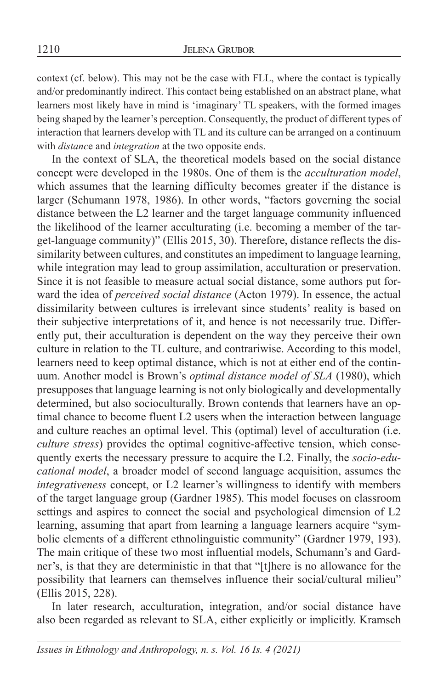context (cf. below). This may not be the case with FLL, where the contact is typically and/or predominantly indirect. This contact being established on an abstract plane, what learners most likely have in mind is 'imaginary' TL speakers, with the formed images being shaped by the learner's perception. Consequently, the product of different types of interaction that learners develop with TL and its culture can be arranged on a continuum with *distanc*e and *integration* at the two opposite ends.

In the context of SLA, the theoretical models based on the social distance concept were developed in the 1980s. One of them is the *acculturation model*, which assumes that the learning difficulty becomes greater if the distance is larger (Schumann 1978, 1986). In other words, "factors governing the social distance between the L2 learner and the target language community influenced the likelihood of the learner acculturating (i.e. becoming a member of the target-language community)" (Ellis 2015, 30). Therefore, distance reflects the dissimilarity between cultures, and constitutes an impediment to language learning, while integration may lead to group assimilation, acculturation or preservation. Since it is not feasible to measure actual social distance, some authors put forward the idea of *perceived social distance* (Acton 1979). In essence, the actual dissimilarity between cultures is irrelevant since students' reality is based on their subjective interpretations of it, and hence is not necessarily true. Differently put, their acculturation is dependent on the way they perceive their own culture in relation to the TL culture, and contrariwise. According to this model, learners need to keep optimal distance, which is not at either end of the continuum. Another model is Brown's *optimal distance model of SLA* (1980), which presupposes that language learning is not only biologically and developmentally determined, but also socioculturally. Brown contends that learners have an optimal chance to become fluent L2 users when the interaction between language and culture reaches an optimal level. This (optimal) level of acculturation (i.e. *culture stress*) provides the optimal cognitive-affective tension, which consequently exerts the necessary pressure to acquire the L2. Finally, the *socio-educational model*, a broader model of second language acquisition, assumes the *integrativeness* concept, or L2 learner's willingness to identify with members of the target language group (Gardner 1985). This model focuses on classroom settings and aspires to connect the social and psychological dimension of L2 learning, assuming that apart from learning a language learners acquire "symbolic elements of a different ethnolinguistic community" (Gardner 1979, 193). The main critique of these two most influential models, Schumann's and Gardner's, is that they are deterministic in that that "[t]here is no allowance for the possibility that learners can themselves influence their social/cultural milieu" (Ellis 2015, 228).

In later research, acculturation, integration, and/or social distance have also been regarded as relevant to SLA, either explicitly or implicitly. Kramsch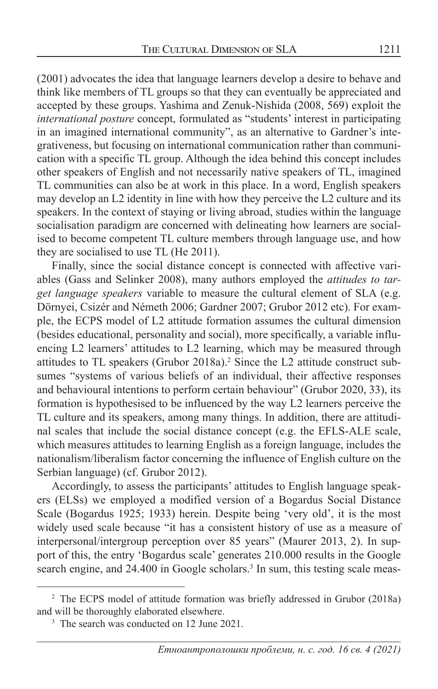(2001) advocates the idea that language learners develop a desire to behave and think like members of TL groups so that they can eventually be appreciated and accepted by these groups. Yashima and Zenuk-Nishida (2008, 569) exploit the *international posture* concept, formulated as "students' interest in participating in an imagined international community", as an alternative to Gardner's integrativeness, but focusing on international communication rather than communication with a specific TL group. Although the idea behind this concept includes other speakers of English and not necessarily native speakers of TL, imagined TL communities can also be at work in this place. In a word, English speakers may develop an L2 identity in line with how they perceive the L2 culture and its speakers. In the context of staying or living abroad, studies within the language socialisation paradigm are concerned with delineating how learners are socialised to become competent TL culture members through language use, and how they are socialised to use TL (He 2011).

Finally, since the social distance concept is connected with affective variables (Gass and Selinker 2008), many authors employed the *attitudes to target language speakers* variable to measure the cultural element of SLA (e.g. Dörnyei, Csizér and Németh 2006; Gardner 2007; Grubor 2012 etc). For example, the ECPS model of L2 attitude formation assumes the cultural dimension (besides educational, personality and social), more specifically, a variable influencing L2 learners' attitudes to L2 learning, which may be measured through attitudes to TL speakers (Grubor 2018a).<sup>2</sup> Since the L2 attitude construct subsumes "systems of various beliefs of an individual, their affective responses and behavioural intentions to perform certain behaviour" (Grubor 2020, 33), its formation is hypothesised to be influenced by the way L2 learners perceive the TL culture and its speakers, among many things. In addition, there are attitudinal scales that include the social distance concept (e.g. the EFLS-ALE scale, which measures attitudes to learning English as a foreign language, includes the nationalism/liberalism factor concerning the influence of English culture on the Serbian language) (cf. Grubor 2012).

Accordingly, to assess the participants' attitudes to English language speakers (ELSs) we employed a modified version of a Bogardus Social Distance Scale (Bogardus 1925; 1933) herein. Despite being 'very old', it is the most widely used scale because "it has a consistent history of use as a measure of interpersonal/intergroup perception over 85 years" (Maurer 2013, 2). In support of this, the entry 'Bogardus scale' generates 210.000 results in the Google search engine, and 24.400 in Google scholars.<sup>3</sup> In sum, this testing scale meas-

<sup>&</sup>lt;sup>2</sup> The ECPS model of attitude formation was briefly addressed in Grubor (2018a) and will be thoroughly elaborated elsewhere.

<sup>&</sup>lt;sup>3</sup> The search was conducted on 12 June 2021.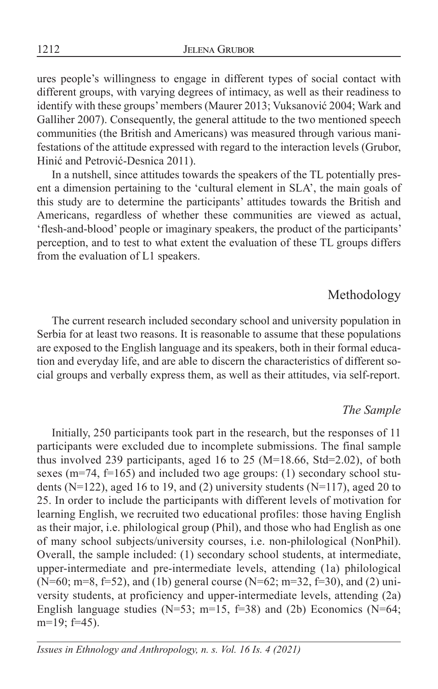ures people's willingness to engage in different types of social contact with different groups, with varying degrees of intimacy, as well as their readiness to identify with these groups' members (Maurer 2013; Vuksanović 2004; Wark and Galliher 2007). Consequently, the general attitude to the two mentioned speech communities (the British and Americans) was measured through various manifestations of the attitude expressed with regard to the interaction levels (Grubor, Hinić and Petrović-Desnica 2011).

In a nutshell, since attitudes towards the speakers of the TL potentially present a dimension pertaining to the 'cultural element in SLA', the main goals of this study are to determine the participants' attitudes towards the British and Americans, regardless of whether these communities are viewed as actual, 'flesh-and-blood' people or imaginary speakers, the product of the participants' perception, and to test to what extent the evaluation of these TL groups differs from the evaluation of L1 speakers.

### Methodology

The current research included secondary school and university population in Serbia for at least two reasons. It is reasonable to assume that these populations are exposed to the English language and its speakers, both in their formal education and everyday life, and are able to discern the characteristics of different social groups and verbally express them, as well as their attitudes, via self-report.

#### *The Sample*

Initially, 250 participants took part in the research, but the responses of 11 participants were excluded due to incomplete submissions. The final sample thus involved 239 participants, aged 16 to 25 (M=18.66, Std=2.02), of both sexes ( $m=74$ ,  $f=165$ ) and included two age groups: (1) secondary school students ( $N=122$ ), aged 16 to 19, and (2) university students ( $N=117$ ), aged 20 to 25. In order to include the participants with different levels of motivation for learning English, we recruited two educational profiles: those having English as their major, i.e. philological group (Phil), and those who had English as one of many school subjects/university courses, i.e. non-philological (NonPhil). Overall, the sample included: (1) secondary school students, at intermediate, upper-intermediate and pre-intermediate levels, attending (1a) philological  $(N=60; m=8, f=52)$ , and (1b) general course  $(N=62; m=32, f=30)$ , and (2) university students, at proficiency and upper-intermediate levels, attending (2a) English language studies (N=53; m=15, f=38) and (2b) Economics (N=64; m=19; f=45).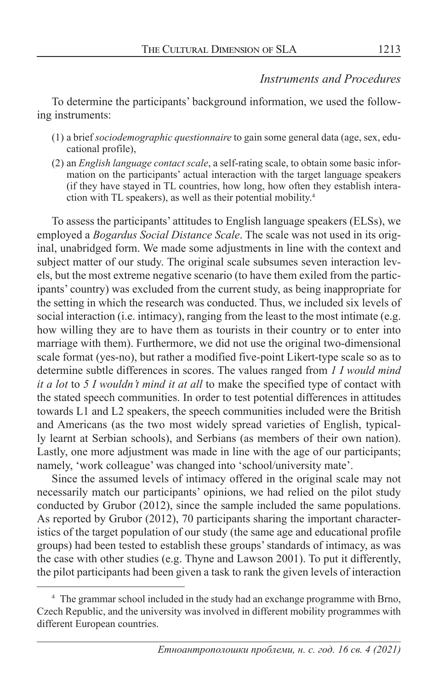#### *Instruments and Procedures*

To determine the participants' background information, we used the following instruments:

- (1) a brief *sociodemographic questionnaire* to gain some general data (age, sex, educational profile),
- (2) an *English language contact scale*, a self-rating scale, to obtain some basic information on the participants' actual interaction with the target language speakers (if they have stayed in TL countries, how long, how often they establish interaction with TL speakers), as well as their potential mobility.4

To assess the participants' attitudes to English language speakers (ELSs), we employed a *Bogardus Social Distance Scale*. The scale was not used in its original, unabridged form. We made some adjustments in line with the context and subject matter of our study. The original scale subsumes seven interaction levels, but the most extreme negative scenario (to have them exiled from the participants' country) was excluded from the current study, as being inappropriate for the setting in which the research was conducted. Thus, we included six levels of social interaction (i.e. intimacy), ranging from the least to the most intimate (e.g. how willing they are to have them as tourists in their country or to enter into marriage with them). Furthermore, we did not use the original two-dimensional scale format (yes-no), but rather a modified five-point Likert-type scale so as to determine subtle differences in scores. The values ranged from *1 I would mind it a lot* to *5 I wouldn't mind it at all* to make the specified type of contact with the stated speech communities. In order to test potential differences in attitudes towards L1 and L2 speakers, the speech communities included were the British and Americans (as the two most widely spread varieties of English, typically learnt at Serbian schools), and Serbians (as members of their own nation). Lastly, one more adjustment was made in line with the age of our participants; namely, 'work colleague' was changed into 'school/university mate'.

Since the assumed levels of intimacy offered in the original scale may not necessarily match our participants' opinions, we had relied on the pilot study conducted by Grubor (2012), since the sample included the same populations. As reported by Grubor (2012), 70 participants sharing the important characteristics of the target population of our study (the same age and educational profile groups) had been tested to establish these groups' standards of intimacy, as was the case with other studies (e.g. Thyne and Lawson 2001). To put it differently, the pilot participants had been given a task to rank the given levels of interaction

<sup>&</sup>lt;sup>4</sup> The grammar school included in the study had an exchange programme with Brno, Czech Republic, and the university was involved in different mobility programmes with different European countries.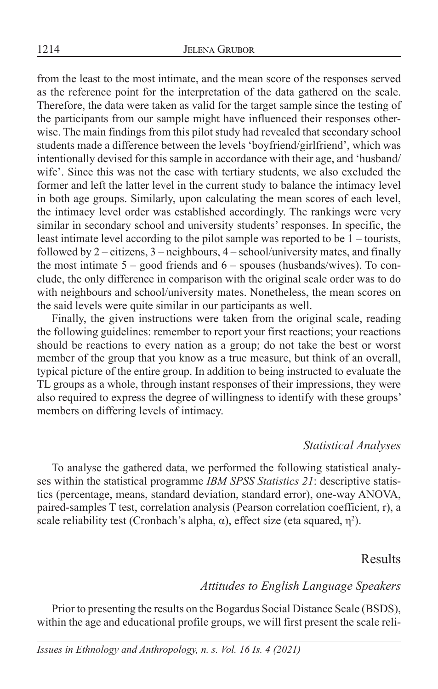from the least to the most intimate, and the mean score of the responses served as the reference point for the interpretation of the data gathered on the scale. Therefore, the data were taken as valid for the target sample since the testing of the participants from our sample might have influenced their responses otherwise. The main findings from this pilot study had revealed that secondary school students made a difference between the levels 'boyfriend/girlfriend', which was intentionally devised for this sample in accordance with their age, and 'husband/ wife'. Since this was not the case with tertiary students, we also excluded the former and left the latter level in the current study to balance the intimacy level in both age groups. Similarly, upon calculating the mean scores of each level, the intimacy level order was established accordingly. The rankings were very similar in secondary school and university students' responses. In specific, the least intimate level according to the pilot sample was reported to be 1 – tourists, followed by  $2$  – citizens,  $3$  – neighbours,  $4$  – school/university mates, and finally the most intimate  $5 - good$  friends and  $6 - spouses$  (husbands/wives). To conclude, the only difference in comparison with the original scale order was to do with neighbours and school/university mates. Nonetheless, the mean scores on the said levels were quite similar in our participants as well.

Finally, the given instructions were taken from the original scale, reading the following guidelines: remember to report your first reactions; your reactions should be reactions to every nation as a group; do not take the best or worst member of the group that you know as a true measure, but think of an overall, typical picture of the entire group. In addition to being instructed to evaluate the TL groups as a whole, through instant responses of their impressions, they were also required to express the degree of willingness to identify with these groups' members on differing levels of intimacy.

#### *Statistical Analyses*

To analyse the gathered data, we performed the following statistical analyses within the statistical programme *IBM SPSS Statistics 21*: descriptive statistics (percentage, means, standard deviation, standard error), one-way ANOVA, paired-samples T test, correlation analysis (Pearson correlation coefficient, r), a scale reliability test (Cronbach's alpha,  $\alpha$ ), effect size (eta squared,  $\eta^2$ ).

#### Results

#### *Attitudes to English Language Speakers*

Prior to presenting the results on the Bogardus Social Distance Scale (BSDS), within the age and educational profile groups, we will first present the scale reli-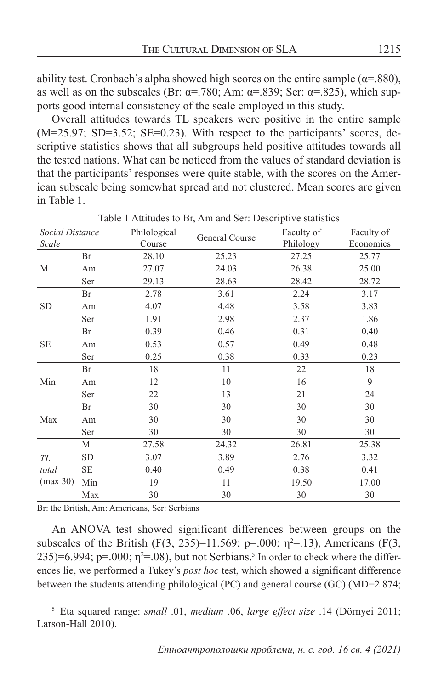ability test. Cronbach's alpha showed high scores on the entire sample ( $\alpha$ =.880), as well as on the subscales (Br:  $\alpha = .780$ ; Am:  $\alpha = .839$ ; Ser:  $\alpha = .825$ ), which supports good internal consistency of the scale employed in this study.

Overall attitudes towards TL speakers were positive in the entire sample  $(M=25.97; SD=3.52; SE=0.23)$ . With respect to the participants' scores, descriptive statistics shows that all subgroups held positive attitudes towards all the tested nations. What can be noticed from the values of standard deviation is that the participants' responses were quite stable, with the scores on the American subscale being somewhat spread and not clustered. Mean scores are given in Table 1.

| Social Distance |           | Philological | General Course |           | Faculty of |
|-----------------|-----------|--------------|----------------|-----------|------------|
| Scale           |           | Course       |                | Philology | Economics  |
|                 | Br        | 28.10        | 25.23          | 27.25     | 25.77      |
| M               | Am        | 27.07        | 24.03          | 26.38     | 25.00      |
|                 | Ser       | 29.13        | 28.63          | 28.42     | 28.72      |
|                 | Br        | 2.78         | 3.61           | 2.24      | 3.17       |
| <b>SD</b>       | Am        | 4.07         | 4.48           | 3.58      | 3.83       |
|                 | Ser       | 1.91         | 2.98           | 2.37      | 1.86       |
|                 | Br        | 0.39         | 0.46           | 0.31      | 0.40       |
| <b>SE</b>       | Am        | 0.53         | 0.57           | 0.49      | 0.48       |
|                 | Ser       | 0.25         | 0.38           | 0.33      | 0.23       |
|                 | Br        | 18           | 11             | 22        | 18         |
| Min             | Am        | 12           | 10             | 16        | 9          |
|                 | Ser       | 22           | 13             | 21        | 24         |
|                 | Br        | 30           | 30             | 30        | 30         |
| Max             | Am        | 30           | 30             | 30        | 30         |
|                 | Ser       | 30           | 30             | 30        | 30         |
|                 | М         | 27.58        | 24.32          | 26.81     | 25.38      |
| TL              | SD        | 3.07         | 3.89           | 2.76      | 3.32       |
| total           | <b>SE</b> | 0.40         | 0.49           | 0.38      | 0.41       |
| (max 30)        | Min       | 19           | 11             | 19.50     | 17.00      |
|                 | Max       | 30           | 30             | 30        | 30         |

Table 1 Attitudes to Br, Am and Ser: Descriptive statistics

Br: the British, Am: Americans, Ser: Serbians

An ANOVA test showed significant differences between groups on the subscales of the British  $(F(3, 235)=11.569; p=.000; \eta^2=.13)$ , Americans  $(F(3, 235)=11.569; p=.000; \eta^2=.13)$ 235)=6.994; p=.000;  $\eta^2$ =.08), but not Serbians.<sup>5</sup> In order to check where the differences lie, we performed a Tukey's *post hoc* test, which showed a significant difference between the students attending philological (PC) and general course (GC) (MD=2.874;

5 Eta squared range: *small* .01, *medium* .06, *large effect size* .14 (Dörnyei 2011; Larson-Hall 2010).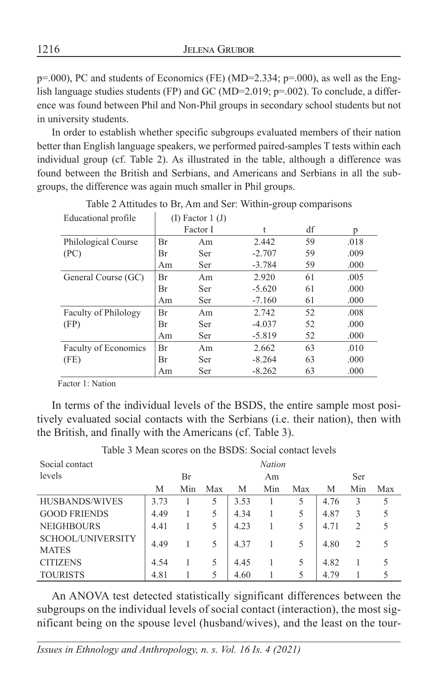1216 JELENA GRUBOR

p=.000), PC and students of Economics (FE) (MD=2.334; p=.000), as well as the English language studies students (FP) and GC (MD=2.019; p=.002). To conclude, a difference was found between Phil and Non-Phil groups in secondary school students but not in university students.

In order to establish whether specific subgroups evaluated members of their nation better than English language speakers, we performed paired-samples T tests within each individual group (cf. Table 2). As illustrated in the table, although a difference was found between the British and Serbians, and Americans and Serbians in all the subgroups, the difference was again much smaller in Phil groups.

| Educational profile         |    | $(I)$ Factor 1 $(J)$ |          |    |      |
|-----------------------------|----|----------------------|----------|----|------|
|                             |    | Factor I             | t        | df | p    |
| Philological Course         | Br | Am                   | 2.442    | 59 | .018 |
| (PC)                        | Br | Ser                  | $-2.707$ | 59 | .009 |
|                             | Am | Ser                  | $-3.784$ | 59 | .000 |
| General Course (GC)         | Br | Am                   | 2.920    | 61 | .005 |
|                             | Br | Ser                  | $-5.620$ | 61 | .000 |
|                             | Am | Ser                  | $-7.160$ | 61 | .000 |
| <b>Faculty of Philology</b> | Br | Am                   | 2.742    | 52 | .008 |
| (FP)                        | Br | Ser                  | $-4.037$ | 52 | .000 |
|                             | Am | Ser                  | $-5.819$ | 52 | .000 |
| Faculty of Economics        | Br | Am                   | 2.662    | 63 | .010 |
| (FE)                        | Br | Ser                  | $-8.264$ | 63 | .000 |
|                             | Am | Ser                  | $-8.262$ | 63 | .000 |

Table 2 Attitudes to Br, Am and Ser: Within-group comparisons

Factor 1: Nation

In terms of the individual levels of the BSDS, the entire sample most positively evaluated social contacts with the Serbians (i.e. their nation), then with the British, and finally with the Americans (cf. Table 3).

| Social contact                    |      | <b>Nation</b> |     |      |     |     |      |     |     |
|-----------------------------------|------|---------------|-----|------|-----|-----|------|-----|-----|
| levels                            | Br   |               |     | Am   |     |     | Ser  |     |     |
|                                   | М    | Min           | Max | М    | Min | Max | М    | Min | Max |
| HUSBANDS/WIVES                    | 3.73 |               | 5   | 3.53 |     | 5   | 4.76 | 3   | 5   |
| <b>GOOD FRIENDS</b>               | 4.49 |               | 5   | 4.34 |     | 5   | 4.87 | 3   | 5   |
| <b>NEIGHBOURS</b>                 | 4.41 |               | 5   | 4.23 |     | 5   | 4.71 | 2   | 5   |
| SCHOOL/UNIVERSITY<br><b>MATES</b> | 4.49 |               | 5   | 4.37 |     | 5   | 4.80 | 2   | 5   |
| <b>CITIZENS</b>                   | 4.54 |               | 5   | 4.45 |     | 5   | 4.82 |     | 5   |
| <b>TOURISTS</b>                   | 4.81 |               | 5   | 4.60 |     | 5   | 4.79 |     | 5   |

Table 3 Mean scores on the BSDS: Social contact levels

An ANOVA test detected statistically significant differences between the subgroups on the individual levels of social contact (interaction), the most significant being on the spouse level (husband/wives), and the least on the tour-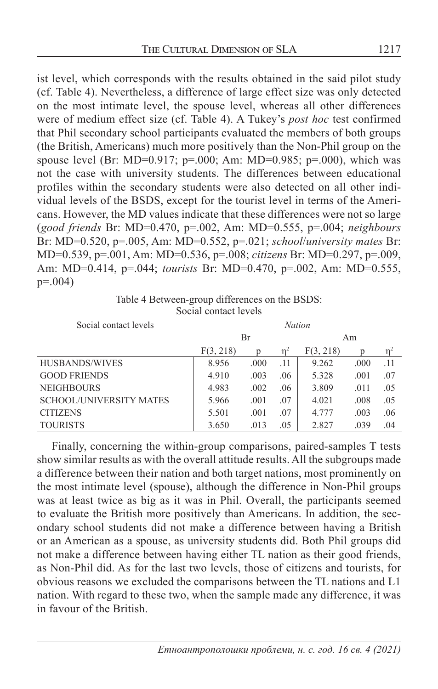ist level, which corresponds with the results obtained in the said pilot study (cf. Table 4). Nevertheless, a difference of large effect size was only detected on the most intimate level, the spouse level, whereas all other differences were of medium effect size (cf. Table 4). A Tukey's *post hoc* test confirmed that Phil secondary school participants evaluated the members of both groups (the British, Americans) much more positively than the Non-Phil group on the spouse level (Br: MD=0.917; p=.000; Am: MD=0.985; p=.000), which was not the case with university students. The differences between educational profiles within the secondary students were also detected on all other individual levels of the BSDS, except for the tourist level in terms of the Americans. However, the MD values indicate that these differences were not so large (*good friends* Br: MD=0.470, p=.002, Am: MD=0.555, p=.004; *neighbours* Br: MD=0.520, p=.005, Am: MD=0.552, p=.021; *school*/*university mates* Br: MD=0.539, p=.001, Am: MD=0.536, p=.008; *citizens* Br: MD=0.297, p=.009, Am: MD=0.414, p=.044; *tourists* Br: MD=0.470, p=.002, Am: MD=0.555, p=.004)

Table 4 Between-group differences on the BSDS: Social contact levels

| Social contact levels          | <b>Nation</b> |      |                |           |      |          |  |
|--------------------------------|---------------|------|----------------|-----------|------|----------|--|
|                                |               | Br   |                | Am        |      |          |  |
|                                | F(3, 218)     |      | n <sup>2</sup> | F(3, 218) | D    | $\eta^2$ |  |
| HUSBANDS/WIVES                 | 8.956         | .000 | .11            | 9.262     | .000 | .11      |  |
| <b>GOOD FRIENDS</b>            | 4.910         | .003 | .06            | 5.328     | .001 | .07      |  |
| <b>NEIGHBOURS</b>              | 4.983         | .002 | .06            | 3.809     | .011 | .05      |  |
| <b>SCHOOL/UNIVERSITY MATES</b> | 5.966         | .001 | .07            | 4.021     | .008 | .05      |  |
| <b>CITIZENS</b>                | 5.501         | .001 | .07            | 4.777     | .003 | .06      |  |
| <b>TOURISTS</b>                | 3.650         | .013 | .05            | 2.827     | .039 | .04      |  |

Finally, concerning the within-group comparisons, paired-samples T tests show similar results as with the overall attitude results. All the subgroups made a difference between their nation and both target nations, most prominently on the most intimate level (spouse), although the difference in Non-Phil groups was at least twice as big as it was in Phil. Overall, the participants seemed to evaluate the British more positively than Americans. In addition, the secondary school students did not make a difference between having a British or an American as a spouse, as university students did. Both Phil groups did not make a difference between having either TL nation as their good friends, as Non-Phil did. As for the last two levels, those of citizens and tourists, for obvious reasons we excluded the comparisons between the TL nations and L1 nation. With regard to these two, when the sample made any difference, it was in favour of the British.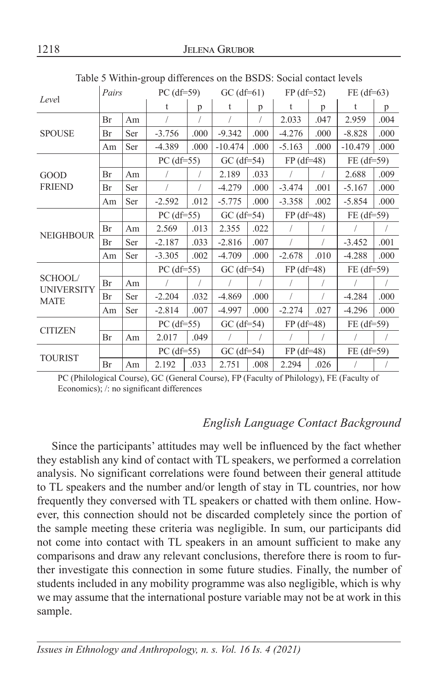| Level                            | Pairs |           | PC $(df=59)$ |            | $GC$ (df=61) |            | $FP(df=52)$  |      | $FE$ (df=63)                                                                                                                                  |      |
|----------------------------------|-------|-----------|--------------|------------|--------------|------------|--------------|------|-----------------------------------------------------------------------------------------------------------------------------------------------|------|
|                                  |       |           | $\mathsf{t}$ | p          | t            | p          | $\mathsf{t}$ | p    | $\mathsf{t}$<br>2.959<br>$-8.828$<br>$-10.479$<br>2.688<br>$-5.167$<br>$-5.854$<br>$\sqrt{2}$<br>$-3.452$<br>$-4.288$<br>$-4.284$<br>$-4.296$ | p    |
|                                  | Br    | Am        |              |            |              |            | 2.033        | .047 |                                                                                                                                               | .004 |
| <b>SPOUSE</b>                    | Br    | Ser       | $-3.756$     | .000       | $-9.342$     | .000       | $-4.276$     | .000 |                                                                                                                                               | .000 |
|                                  | Am    | Ser       | $-4.389$     | .000       | $-10.474$    | .000       | $-5.163$     | .000 |                                                                                                                                               | .000 |
|                                  |       |           | $PC$ (df=55) |            | $GC$ (df=54) |            | $FP$ (df=48) |      | $FE$ (df=59)                                                                                                                                  |      |
| GOOD                             | Br    | Am        |              |            | 2.189        | .033       | $\sqrt{2}$   |      |                                                                                                                                               | .009 |
| <b>FRIEND</b>                    | Br    | Ser       |              |            | $-4.279$     | .000       | $-3.474$     | .001 |                                                                                                                                               | .000 |
|                                  | Am    | Ser       | $-2.592$     | .012       | $-5.775$     | .000       | $-3.358$     | .002 |                                                                                                                                               | .000 |
|                                  |       |           | $PC$ (df=55) |            | $GC$ (df=54) |            | $FP(df=48)$  |      | FE (df=59)                                                                                                                                    |      |
|                                  | Br    | Am        | 2.569        | .013       | 2.355        | .022       | $\sqrt{2}$   |      |                                                                                                                                               |      |
| <b>NEIGHBOUR</b>                 | Br    | Ser       | $-2.187$     | .033       | $-2.816$     | .007       | $\sqrt{2}$   |      |                                                                                                                                               | .001 |
|                                  | Am    | Ser       | $-3.305$     | .002       | $-4.709$     | .000       | $-2.678$     | .010 |                                                                                                                                               | .000 |
|                                  |       |           | $PC$ (df=55) |            | $GC$ (df=54) |            | $FP$ (df=48) |      | $FE$ (df=59)                                                                                                                                  |      |
| SCHOOL/                          | Br    | Am        | $\sqrt{2}$   | $\sqrt{2}$ |              | $\sqrt{2}$ | $\sqrt{2}$   |      |                                                                                                                                               |      |
| <b>UNIVERSITY</b><br><b>MATE</b> | Br    | Ser       | $-2.204$     | .032       | $-4.869$     | .000       | $\sqrt{2}$   |      |                                                                                                                                               | .000 |
|                                  | Am    | Ser       | $-2.814$     | .007       | $-4.997$     | .000       | $-2.274$     | .027 |                                                                                                                                               | .000 |
|                                  |       |           | $PC$ (df=55) |            | $GC$ (df=54) |            | $FP$ (df=48) |      | $FE$ (df=59)                                                                                                                                  |      |
| <b>CITIZEN</b>                   | Br    | $\rm{Am}$ | 2.017        | .049       |              |            |              |      |                                                                                                                                               |      |
| <b>TOURIST</b>                   |       |           | $PC$ (df=55) |            | $GC$ (df=54) |            | $FP(df=48)$  |      | $FE$ (df=59)                                                                                                                                  |      |
|                                  | Br    | Am        | 2.192        | .033       | 2.751        | .008       | 2.294        | .026 |                                                                                                                                               |      |

Table 5 Within-group differences on the BSDS: Social contact levels

 PC (Philological Course), GC (General Course), FP (Faculty of Philology), FE (Faculty of Economics); /: no significant differences

### *English Language Contact Background*

Since the participants' attitudes may well be influenced by the fact whether they establish any kind of contact with TL speakers, we performed a correlation analysis. No significant correlations were found between their general attitude to TL speakers and the number and/or length of stay in TL countries, nor how frequently they conversed with TL speakers or chatted with them online. However, this connection should not be discarded completely since the portion of the sample meeting these criteria was negligible. In sum, our participants did not come into contact with TL speakers in an amount sufficient to make any comparisons and draw any relevant conclusions, therefore there is room to further investigate this connection in some future studies. Finally, the number of students included in any mobility programme was also negligible, which is why we may assume that the international posture variable may not be at work in this sample.

*Issues in Ethnology and Anthropology, n. s. Vol. 16 Is. 4 (2021)*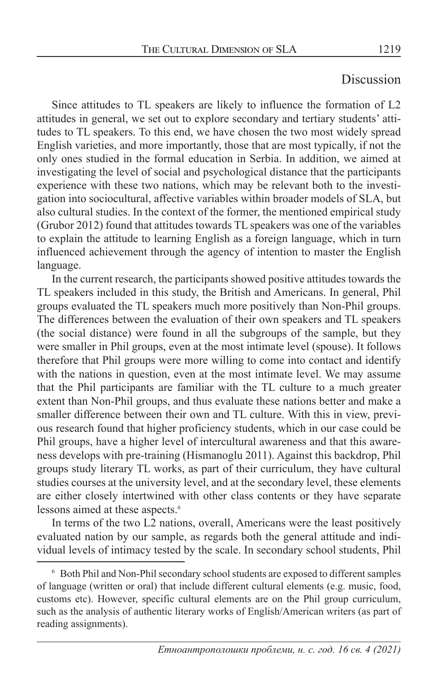## Discussion

Since attitudes to TL speakers are likely to influence the formation of L2 attitudes in general, we set out to explore secondary and tertiary students' attitudes to TL speakers. To this end, we have chosen the two most widely spread English varieties, and more importantly, those that are most typically, if not the only ones studied in the formal education in Serbia. In addition, we aimed at investigating the level of social and psychological distance that the participants experience with these two nations, which may be relevant both to the investigation into sociocultural, affective variables within broader models of SLA, but also cultural studies. In the context of the former, the mentioned empirical study (Grubor 2012) found that attitudes towards TL speakers was one of the variables to explain the attitude to learning English as a foreign language, which in turn influenced achievement through the agency of intention to master the English language.

In the current research, the participants showed positive attitudes towards the TL speakers included in this study, the British and Americans. In general, Phil groups evaluated the TL speakers much more positively than Non-Phil groups. The differences between the evaluation of their own speakers and TL speakers (the social distance) were found in all the subgroups of the sample, but they were smaller in Phil groups, even at the most intimate level (spouse). It follows therefore that Phil groups were more willing to come into contact and identify with the nations in question, even at the most intimate level. We may assume that the Phil participants are familiar with the TL culture to a much greater extent than Non-Phil groups, and thus evaluate these nations better and make a smaller difference between their own and TL culture. With this in view, previous research found that higher proficiency students, which in our case could be Phil groups, have a higher level of intercultural awareness and that this awareness develops with pre-training (Hismanoglu 2011). Against this backdrop, Phil groups study literary TL works, as part of their curriculum, they have cultural studies courses at the university level, and at the secondary level, these elements are either closely intertwined with other class contents or they have separate lessons aimed at these aspects.<sup>6</sup>

In terms of the two L2 nations, overall, Americans were the least positively evaluated nation by our sample, as regards both the general attitude and individual levels of intimacy tested by the scale. In secondary school students, Phil

<sup>6</sup> Both Phil and Non-Phil secondary school students are exposed to different samples of language (written or oral) that include different cultural elements (e.g. music, food, customs etc). However, specific cultural elements are on the Phil group curriculum, such as the analysis of authentic literary works of English/American writers (as part of reading assignments).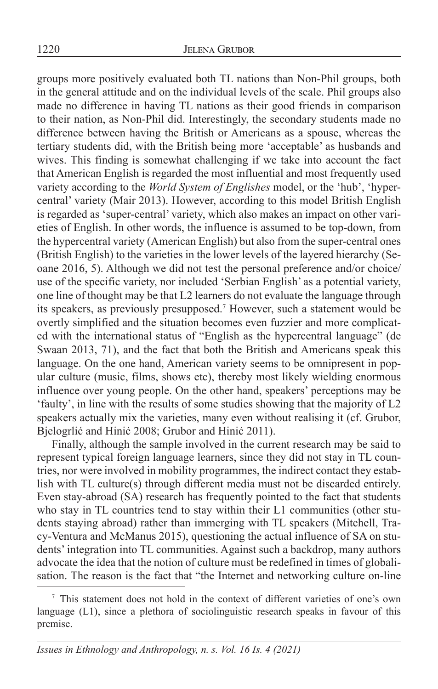groups more positively evaluated both TL nations than Non-Phil groups, both in the general attitude and on the individual levels of the scale. Phil groups also made no difference in having TL nations as their good friends in comparison to their nation, as Non-Phil did. Interestingly, the secondary students made no difference between having the British or Americans as a spouse, whereas the tertiary students did, with the British being more 'acceptable' as husbands and wives. This finding is somewhat challenging if we take into account the fact that American English is regarded the most influential and most frequently used variety according to the *World System of Englishes* model, or the 'hub', 'hypercentral' variety (Mair 2013). However, according to this model British English is regarded as 'super-central' variety, which also makes an impact on other varieties of English. In other words, the influence is assumed to be top-down, from the hypercentral variety (American English) but also from the super-central ones (British English) to the varieties in the lower levels of the layered hierarchy (Seoane 2016, 5). Although we did not test the personal preference and/or choice/ use of the specific variety, nor included 'Serbian English' as a potential variety, one line of thought may be that L2 learners do not evaluate the language through its speakers, as previously presupposed.7 However, such a statement would be overtly simplified and the situation becomes even fuzzier and more complicated with the international status of "English as the hypercentral language" (de Swaan 2013, 71), and the fact that both the British and Americans speak this language. On the one hand, American variety seems to be omnipresent in popular culture (music, films, shows etc), thereby most likely wielding enormous influence over young people. On the other hand, speakers' perceptions may be 'faulty', in line with the results of some studies showing that the majority of L2 speakers actually mix the varieties, many even without realising it (cf. Grubor, Bjelogrlić and Hinić 2008; Grubor and Hinić 2011).

Finally, although the sample involved in the current research may be said to represent typical foreign language learners, since they did not stay in TL countries, nor were involved in mobility programmes, the indirect contact they establish with TL culture(s) through different media must not be discarded entirely. Even stay-abroad (SA) research has frequently pointed to the fact that students who stay in TL countries tend to stay within their L1 communities (other students staying abroad) rather than immerging with TL speakers (Mitchell, Tracy-Ventura and McManus 2015), questioning the actual influence of SA on students' integration into TL communities. Against such a backdrop, many authors advocate the idea that the notion of culture must be redefined in times of globalisation. The reason is the fact that "the Internet and networking culture on-line

<sup>7</sup> This statement does not hold in the context of different varieties of one's own language (L1), since a plethora of sociolinguistic research speaks in favour of this premise.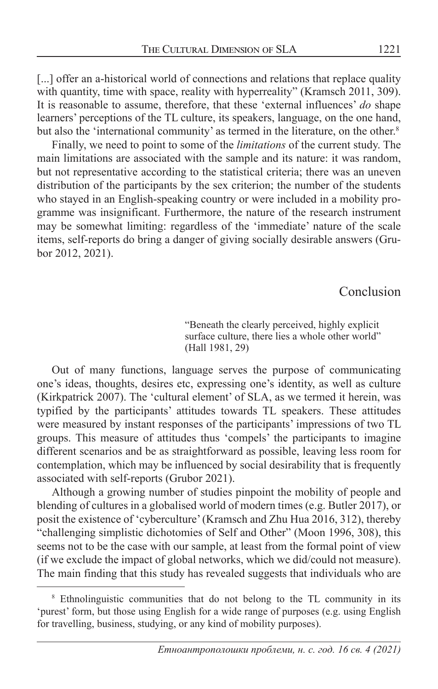[...] offer an a-historical world of connections and relations that replace quality with quantity, time with space, reality with hyperreality" (Kramsch 2011, 309). It is reasonable to assume, therefore, that these 'external influences' *do* shape learners' perceptions of the TL culture, its speakers, language, on the one hand, but also the 'international community' as termed in the literature, on the other.<sup>8</sup>

Finally, we need to point to some of the *limitations* of the current study. The main limitations are associated with the sample and its nature: it was random, but not representative according to the statistical criteria; there was an uneven distribution of the participants by the sex criterion; the number of the students who stayed in an English-speaking country or were included in a mobility programme was insignificant. Furthermore, the nature of the research instrument may be somewhat limiting: regardless of the 'immediate' nature of the scale items, self-reports do bring a danger of giving socially desirable answers (Grubor 2012, 2021).

Conclusion

"Beneath the clearly perceived, highly explicit surface culture, there lies a whole other world" (Hall 1981, 29)

Out of many functions, language serves the purpose of communicating one's ideas, thoughts, desires etc, expressing one's identity, as well as culture (Kirkpatrick 2007). The 'cultural element' of SLA, as we termed it herein, was typified by the participants' attitudes towards TL speakers. These attitudes were measured by instant responses of the participants' impressions of two TL groups. This measure of attitudes thus 'compels' the participants to imagine different scenarios and be as straightforward as possible, leaving less room for contemplation, which may be influenced by social desirability that is frequently associated with self-reports (Grubor 2021).

Although a growing number of studies pinpoint the mobility of people and blending of cultures in a globalised world of modern times (e.g. Butler 2017), or posit the existence of 'cyberculture' (Kramsch and Zhu Hua 2016, 312), thereby "challenging simplistic dichotomies of Self and Other" (Moon 1996, 308), this seems not to be the case with our sample, at least from the formal point of view (if we exclude the impact of global networks, which we did/could not measure). The main finding that this study has revealed suggests that individuals who are

<sup>&</sup>lt;sup>8</sup> Ethnolinguistic communities that do not belong to the TL community in its 'purest' form, but those using English for a wide range of purposes (e.g. using English for travelling, business, studying, or any kind of mobility purposes).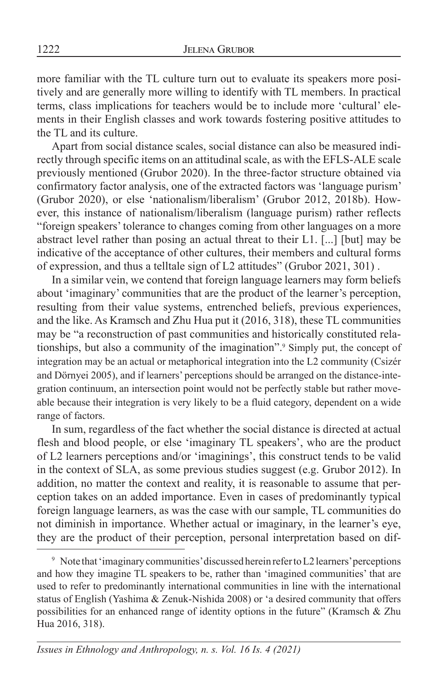more familiar with the TL culture turn out to evaluate its speakers more positively and are generally more willing to identify with TL members. In practical terms, class implications for teachers would be to include more 'cultural' elements in their English classes and work towards fostering positive attitudes to the TL and its culture.

Apart from social distance scales, social distance can also be measured indirectly through specific items on an attitudinal scale, as with the EFLS-ALE scale previously mentioned (Grubor 2020). In the three-factor structure obtained via confirmatory factor analysis, one of the extracted factors was 'language purism' (Grubor 2020), or else 'nationalism/liberalism' (Grubor 2012, 2018b). However, this instance of nationalism/liberalism (language purism) rather reflects "foreign speakers' tolerance to changes coming from other languages on a more abstract level rather than posing an actual threat to their L1. [...] [but] may be indicative of the acceptance of other cultures, their members and cultural forms of expression, and thus a telltale sign of L2 attitudes" (Grubor 2021, 301) .

In a similar vein, we contend that foreign language learners may form beliefs about 'imaginary' communities that are the product of the learner's perception, resulting from their value systems, entrenched beliefs, previous experiences, and the like. As Kramsch and Zhu Hua put it (2016, 318), these TL communities may be "a reconstruction of past communities and historically constituted relationships, but also a community of the imagination".9 Simply put, the concept of integration may be an actual or metaphorical integration into the L2 community (Csizér and Dörnyei 2005), and if learners' perceptions should be arranged on the distance-integration continuum, an intersection point would not be perfectly stable but rather moveable because their integration is very likely to be a fluid category, dependent on a wide range of factors.

In sum, regardless of the fact whether the social distance is directed at actual flesh and blood people, or else 'imaginary TL speakers', who are the product of L2 learners perceptions and/or 'imaginings', this construct tends to be valid in the context of SLA, as some previous studies suggest (e.g. Grubor 2012). In addition, no matter the context and reality, it is reasonable to assume that perception takes on an added importance. Even in cases of predominantly typical foreign language learners, as was the case with our sample, TL communities do not diminish in importance. Whether actual or imaginary, in the learner's eye, they are the product of their perception, personal interpretation based on dif-

<sup>&</sup>lt;sup>9</sup> Note that 'imaginary communities' discussed herein refer to L2 learners' perceptions and how they imagine TL speakers to be, rather than 'imagined communities' that are used to refer to predominantly international communities in line with the international status of English (Yashima & Zenuk-Nishida 2008) or 'a desired community that offers possibilities for an enhanced range of identity options in the future" (Kramsch & Zhu Hua 2016, 318).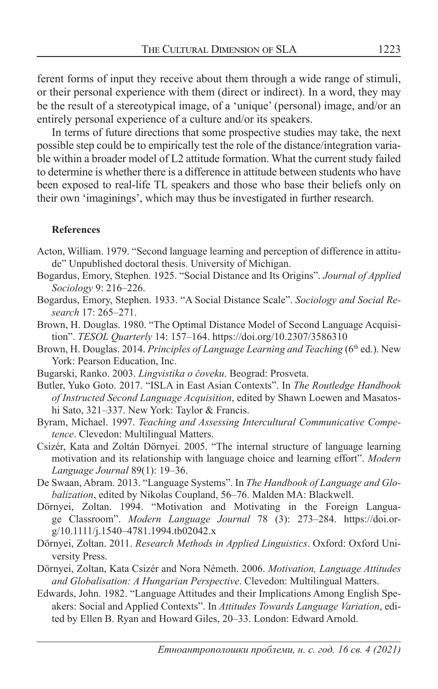ferent forms of input they receive about them through a wide range of stimuli, or their personal experience with them (direct or indirect). In a word, they may be the result of a stereotypical image, of a 'unique' (personal) image, and/or an entirely personal experience of a culture and/or its speakers.

In terms of future directions that some prospective studies may take, the next possible step could be to empirically test the role of the distance/integration variable within a broader model of L2 attitude formation. What the current study failed to determine is whether there is a difference in attitude between students who have been exposed to real-life TL speakers and those who base their beliefs only on their own 'imaginings', which may thus be investigated in further research.

#### **References**

- Acton, William. 1979. "Second language learning and perception of difference in attitude" Unpublished doctoral thesis. University of Michigan.
- Bogardus, Emory, Stephen. 1925. "Social Distance and Its Origins". *Journal of Applied Sociology* 9: 216–226.
- Bogardus, Emory, Stephen. 1933. "A Social Distance Scale". *Sociology and Social Research* 17: 265–271.
- Brown, H. Douglas. 1980. "The Optimal Distance Model of Second Language Acquisition". *TESOL Quarterly* 14: 157–164. https://doi.org/10.2307/3586310
- Brown, H. Douglas. 2014. *Principles of Language Learning and Teaching* (6<sup>th</sup> ed.). New York: Pearson Education, Inc.
- Bugarski, Ranko. 2003. *Lingvistika o čoveku*. Beograd: Prosveta.
- Butler, Yuko Goto. 2017. "ISLA in East Asian Contexts". In *The Routledge Handbook of Instructed Second Language Acquisition*, edited by Shawn Loewen and Masatoshi Sato, 321–337. New York: Taylor & Francis.
- Byram, Michael. 1997. *Teaching and Assessing Intercultural Communicative Competence*. Clevedon: Multilingual Matters.
- Csizér, Kata and Zoltán Dörnyei. 2005. "The internal structure of language learning motivation and its relationship with language choice and learning effort". *Modern Language Journal* 89(1): 19–36.
- De Swaan, Abram. 2013. "Language Systems". In *The Handbook of Language and Globalization*, edited by Nikolas Coupland, 56–76. Malden MA: Blackwell.
- Dörnyei, Zoltan. 1994. "Motivation and Motivating in the Foreign Language Classroom". *Modern Language Journal* 78 (3): 273–284. https://doi.org/10.1111/j.1540–4781.1994.tb02042.x
- Dörnyei, Zoltan. 2011. *Research Methods in Applied Linguistics*. Oxford: Oxford University Press.
- Dörnyei, Zoltan, Kata Csizér and Nora Németh. 2006. *Motivation, Language Attitudes and Globalisation: A Hungarian Perspective*. Clevedon: Multilingual Matters.
- Edwards, John. 1982. "Language Attitudes and their Implications Among English Speakers: Social and Applied Contexts". In *Attitudes Towards Language Variation*, edited by Ellen B. Ryan and Howard Giles, 20–33. London: Edward Arnold.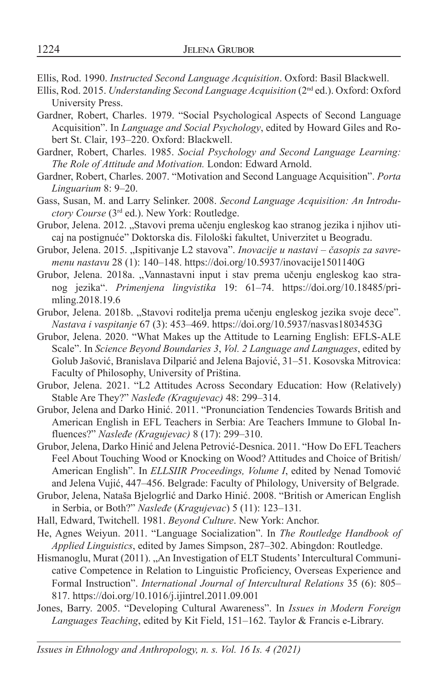Ellis, Rod. 1990. *Instructed Second Language Acquisition*. Oxford: Basil Blackwell.

- Ellis, Rod. 2015. *Understanding Second Language Acquisition* (2nd ed.). Oxford: Oxford University Press.
- Gardner, Robert, Charles. 1979. "Social Psychological Aspects of Second Language Acquisition". In *Language and Social Psychology*, edited by Howard Giles and Robert St. Clair, 193–220. Oxford: Blackwell.
- Gardner, Robert, Charles. 1985. *Social Psychology and Second Language Learning: The Role of Attitude and Motivation.* London: Edward Arnold.
- Gardner, Robert, Charles. 2007. "Motivation and Second Language Acquisition". *Porta Linguarium* 8: 9–20.
- Gass, Susan, M. and Larry Selinker. 2008. *Second Language Acquisition: An Introductory Course* (3rd ed.). New York: Routledge.
- Grubor, Jelena. 2012. "Stavovi prema učenju engleskog kao stranog jezika i njihov uticaj na postignuće" Doktorska dis. Filološki fakultet, Univerzitet u Beogradu.
- Grubor, Jelena. 2015. "Ispitivanje L2 stavova". *Inovacije u nastavi časopis za savremenu nastavu* 28 (1): 140–148. https://doi.org/10.5937/inovacije1501140G
- Grubor, Jelena. 2018a. "Vannastavni input i stav prema učenju engleskog kao stranog jezika". *Primenjena lingvistika* 19: 61–74. https://doi.org/10.18485/primling.2018.19.6
- Grubor, Jelena. 2018b. "Stavovi roditelja prema učenju engleskog jezika svoje dece". *Nastava i vaspitanje* 67 (3): 453*–*469. https://doi.org/10.5937/nasvas1803453G
- Grubor, Jelena. 2020. "What Makes up the Attitude to Learning English: EFLS-ALE Scale". In *Science Beyond Boundaries 3*, *Vol. 2 Language and Languages*, edited by Golub Jašović, Branislava Dilparić and Jelena Bajović, 31–51. Kosovska Mitrovica: Faculty of Philosophy, University of Priština.
- Grubor, Jelena. 2021. "L2 Attitudes Across Secondary Education: How (Relatively) Stable Are They?" *Nasleđe (Kragujevac)* 48: 299*–*314.
- Grubor, Jelena and Darko Hinić. 2011. "Pronunciation Tendencies Towards British and American English in EFL Teachers in Serbia: Are Teachers Immune to Global Influences?" *Nasleđe (Kragujevac)* 8 (17): 299–310.
- Grubor, Jelena, Darko Hinić and Jelena Petrović-Desnica. 2011. "How Do EFL Teachers Feel About Touching Wood or Knocking on Wood? Attitudes and Choice of British/ American English". In *ELLSIIR Proceedings, Volume I*, edited by Nenad Tomović and Jelena Vujić, 447–456. Belgrade: Faculty of Philology, University of Belgrade.
- Grubor, Jelena, Nataša Bjelogrlić and Darko Hinić. 2008. "British or American English in Serbia, or Both?" *Nasleđe* (*Kragujevac*) 5 (11): 123–131*.*
- Hall, Edward, Twitchell. 1981. *Beyond Culture*. New York: Anchor.
- He, Agnes Weiyun. 2011. "Language Socialization". In *The Routledge Handbook of Applied Linguistics*, edited by James Simpson, 287–302. Abingdon: Routledge.
- Hismanoglu, Murat (2011). "An Investigation of ELT Students' Intercultural Communicative Competence in Relation to Linguistic Proficiency, Overseas Experience and Formal Instruction". *International Journal of Intercultural Relations* 35 (6): 805– 817. https://doi.org/10.1016/j.ijintrel.2011.09.001
- Jones, Barry. 2005. "Developing Cultural Awareness". In *Issues in Modern Foreign Languages Teaching*, edited by Kit Field, 151–162. Taylor & Francis e-Library.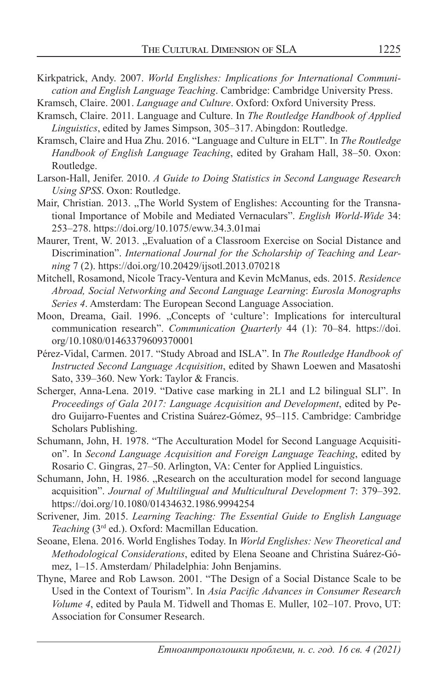- Kirkpatrick, Andy. 2007. *World Englishes: Implications for International Communication and English Language Teaching*. Cambridge: Cambridge University Press.
- Kramsch, Claire. 2001. *Language and Culture*. Oxford: Oxford University Press.
- Kramsch, Claire. 2011. Language and Culture. In *The Routledge Handbook of Applied Linguistics*, edited by James Simpson, 305–317. Abingdon: Routledge.
- Kramsch, Claire and Hua Zhu. 2016. "Language and Culture in ELT". In *The Routledge Handbook of English Language Teaching*, edited by Graham Hall, 38–50. Oxon: Routledge.
- Larson-Hall, Jenifer. 2010. *A Guide to Doing Statistics in Second Language Research Using SPSS*. Oxon: Routledge.
- Mair, Christian. 2013. "The World System of Englishes: Accounting for the Transnational Importance of Mobile and Mediated Vernaculars". *English World-Wide* 34: 253–278. https://doi.org/10.1075/eww.34.3.01mai
- Maurer, Trent, W. 2013. "Evaluation of a Classroom Exercise on Social Distance and Discrimination". *International Journal for the Scholarship of Teaching and Learning* 7 (2). https://doi.org/10.20429/ijsotl.2013.070218
- Mitchell, Rosamond, Nicole Tracy-Ventura and Kevin McManus, eds. 2015. *Residence Abroad, Social Networking and Second Language Learning*: *Eurosla Monographs Series 4*. Amsterdam: The European Second Language Association.
- Moon, Dreama, Gail. 1996. "Concepts of 'culture': Implications for intercultural communication research". *Communication Quarterly* 44 (1): 70–84. https://doi. org/10.1080/01463379609370001
- Pérez-Vidal, Carmen. 2017. "Study Abroad and ISLA". In *The Routledge Handbook of Instructed Second Language Acquisition*, edited by Shawn Loewen and Masatoshi Sato, 339–360. New York: Taylor & Francis.
- Scherger, Anna-Lena. 2019. "Dative case marking in 2L1 and L2 bilingual SLI". In *Proceedings of Gala 2017: Language Acquisition and Development*, edited by Pedro Guijarro-Fuentes and Cristina Suárez-Gómez, 95–115. Cambridge: Cambridge Scholars Publishing.
- Schumann, John, H. 1978. "The Acculturation Model for Second Language Acquisition". In *Second Language Acquisition and Foreign Language Teaching*, edited by Rosario C. Gingras, 27–50. Arlington, VA: Center for Applied Linguistics.
- Schumann, John, H. 1986. "Research on the acculturation model for second language acquisition". *Journal of Multilingual and Multicultural Development* 7: 379–392. https://doi.org/10.1080/01434632.1986.9994254
- Scrivener, Jim. 2015. *Learning Teaching: The Essential Guide to English Language Teaching* (3rd ed.). Oxford: Macmillan Education.
- Seoane, Elena. 2016. World Englishes Today. In *World Englishes: New Theoretical and Methodological Considerations*, edited by Elena Seoane and Christina Suárez-Gómez, 1–15. Amsterdam/ Philadelphia: John Benjamins.
- Thyne, Maree and Rob Lawson. 2001. "The Design of a Social Distance Scale to be Used in the Context of Tourism". In *Asia Pacific Advances in Consumer Research Volume 4*, edited by Paula M. Tidwell and Thomas E. Muller, 102–107. Provo, UT: Association for Consumer Research.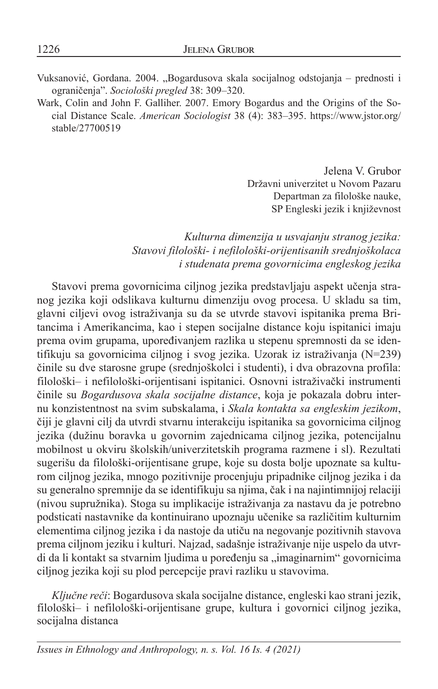Vuksanović, Gordana. 2004. "Bogardusova skala socijalnog odstojanja - prednosti i ograničenja". *Sociološki pregled* 38: 309–320.

Wark, Colin and John F. Galliher. 2007. Emory Bogardus and the Origins of the Social Distance Scale. *American Sociologist* 38 (4): 383–395. https://www.jstor.org/ stable/27700519

> Jelena V. Grubor Državni univerzitet u Novom Pazaru Departman za filološke nauke, SP Engleski jezik i književnost

#### *Kulturna dimenzija u usvajanju stranog jezika: Stavovi filološki- i nefilološki-orijentisanih srednjoškolaca i studenata prema govornicima engleskog jezika*

Stavovi prema govornicima ciljnog jezika predstavljaju aspekt učenja stranog jezika koji odslikava kulturnu dimenziju ovog procesa. U skladu sa tim, glavni ciljevi ovog istraživanja su da se utvrde stavovi ispitanika prema Britancima i Amerikancima, kao i stepen socijalne distance koju ispitanici imaju prema ovim grupama, upoređivanjem razlika u stepenu spremnosti da se identifikuju sa govornicima ciljnog i svog jezika. Uzorak iz istraživanja (N=239) činile su dve starosne grupe (srednjoškolci i studenti), i dva obrazovna profila: filološki– i nefilološki-orijentisani ispitanici. Osnovni istraživački instrumenti činile su *Bogardusova skala socijalne distance*, koja je pokazala dobru internu konzistentnost na svim subskalama, i *Skala kontakta sa engleskim jezikom*, čiji je glavni cilj da utvrdi stvarnu interakciju ispitanika sa govornicima ciljnog jezika (dužinu boravka u govornim zajednicama ciljnog jezika, potencijalnu mobilnost u okviru školskih/univerzitetskih programa razmene i sl). Rezultati sugerišu da filološki-orijentisane grupe, koje su dosta bolje upoznate sa kulturom ciljnog jezika, mnogo pozitivnije procenjuju pripadnike ciljnog jezika i da su generalno spremnije da se identifikuju sa njima, čak i na najintimnijoj relaciji (nivou supružnika). Stoga su implikacije istraživanja za nastavu da je potrebno podsticati nastavnike da kontinuirano upoznaju učenike sa različitim kulturnim elementima ciljnog jezika i da nastoje da utiču na negovanje pozitivnih stavova prema ciljnom jeziku i kulturi. Najzad, sadašnje istraživanje nije uspelo da utvrdi da li kontakt sa stvarnim ljudima u poređenju sa "imaginarnim" govornicima ciljnog jezika koji su plod percepcije pravi razliku u stavovima.

*Ključne reči*: Bogardusova skala socijalne distance, engleski kao strani jezik, filološki– i nefilološki-orijentisane grupe, kultura i govornici ciljnog jezika, socijalna distanca